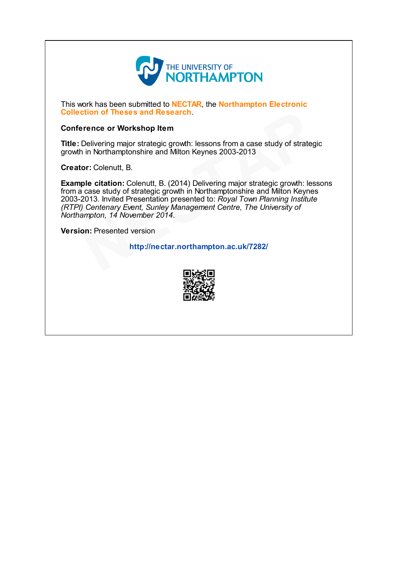

This work has been submitted to **NECTAR**, the **Northampton Electronic** Collection of Theses and Research.

#### Conference or Workshop Item

Title: Delivering major strategic growth: lessons from a case study of strategic growth in Northamptonshire and Milton Keynes 2003-2013

Creator: Colenutt, B.

Example citation: Colenutt, B. (2014) Delivering major strategic growth: lessons from a case study of strategic growth in Northamptonshire and Milton Keynes 2003-2013. Invited Presentation presented to: Royal Town Planning Institute (RTPI) Centenary Event, Sunley Management Centre, The University of Northampton, 14 November 2014. **Example 18 Theses and Research.**<br>
Pelivering major strategic growth: lessons from a case study of strategic<br>
Delivering major strategic growth: lessons from a case study of strategic<br>
or: Colenutt, B.<br>
ple citation: Colen

Version: Presented version

http://nectar.northampton.ac.uk/7282/

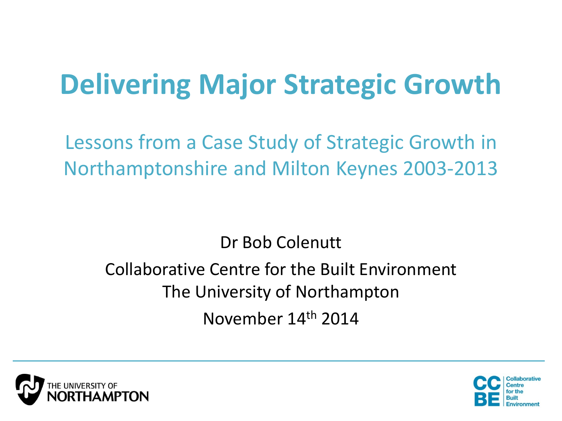# **Delivering Major Strategic Growth**

Lessons from a Case Study of Strategic Growth in Northamptonshire and Milton Keynes 2003-2013

Dr Bob Colenutt

## Collaborative Centre for the Built Environment The University of Northampton November 14th 2014



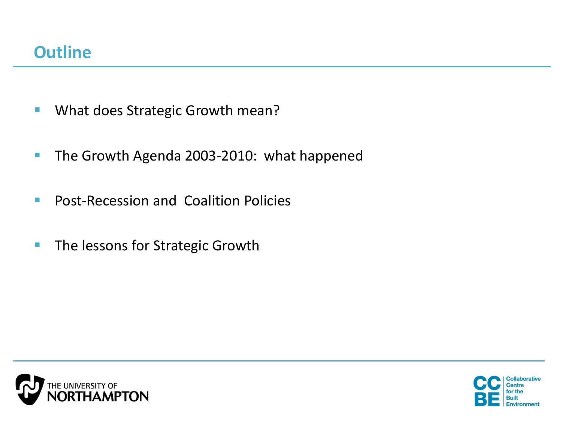- **What does Strategic Growth mean?**
- The Growth Agenda 2003-2010: what happened
- **Post-Recession and Coalition Policies**
- **The lessons for Strategic Growth**



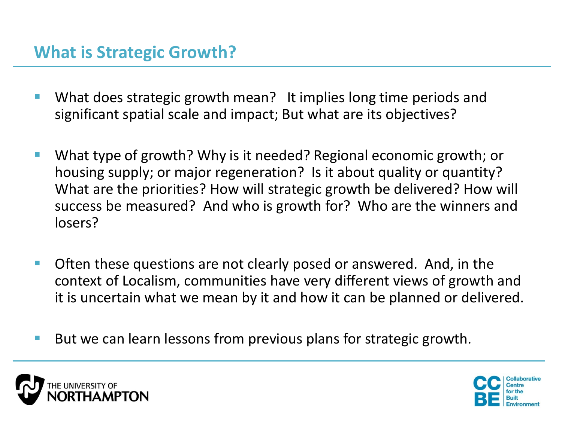- What does strategic growth mean? It implies long time periods and significant spatial scale and impact; But what are its objectives?
- What type of growth? Why is it needed? Regional economic growth; or housing supply; or major regeneration? Is it about quality or quantity? What are the priorities? How will strategic growth be delivered? How will success be measured? And who is growth for? Who are the winners and losers?
- Often these questions are not clearly posed or answered. And, in the context of Localism, communities have very different views of growth and it is uncertain what we mean by it and how it can be planned or delivered.
- But we can learn lessons from previous plans for strategic growth.



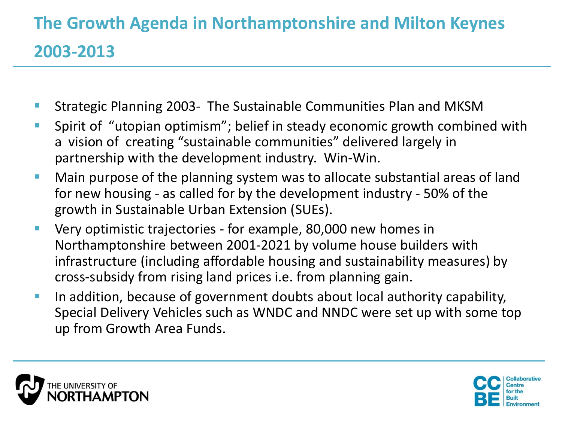## **The Growth Agenda in Northamptonshire and Milton Keynes 2003-2013**

- Strategic Planning 2003- The Sustainable Communities Plan and MKSM
- **Spirit of "utopian optimism"; belief in steady economic growth combined with** a vision of creating "sustainable communities" delivered largely in partnership with the development industry. Win-Win.
- **Main purpose of the planning system was to allocate substantial areas of land** for new housing - as called for by the development industry - 50% of the growth in Sustainable Urban Extension (SUEs).
- **UPER 100 Very optimistic trajectories for example, 80,000 new homes in** Northamptonshire between 2001-2021 by volume house builders with infrastructure (including affordable housing and sustainability measures) by cross-subsidy from rising land prices i.e. from planning gain.
- In addition, because of government doubts about local authority capability, Special Delivery Vehicles such as WNDC and NNDC were set up with some top up from Growth Area Funds.



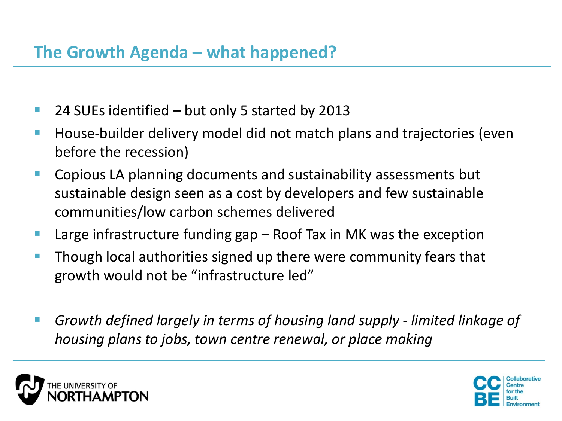- 24 SUEs identified but only 5 started by 2013
- House-builder delivery model did not match plans and trajectories (even before the recession)
- **E** Copious LA planning documents and sustainability assessments but sustainable design seen as a cost by developers and few sustainable communities/low carbon schemes delivered
- **Large infrastructure funding gap Roof Tax in MK was the exception**
- **Though local authorities signed up there were community fears that** growth would not be "infrastructure led"
- *Growth defined largely in terms of housing land supply - limited linkage of housing plans to jobs, town centre renewal, or place making*



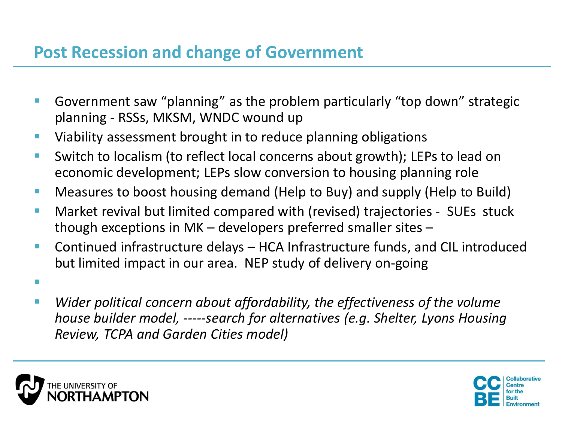### **Post Recession and change of Government**

- Government saw "planning" as the problem particularly "top down" strategic planning - RSSs, MKSM, WNDC wound up
- **URIGA** Viability assessment brought in to reduce planning obligations
- Switch to localism (to reflect local concerns about growth); LEPs to lead on economic development; LEPs slow conversion to housing planning role
- **Measures to boost housing demand (Help to Buy) and supply (Help to Build)**
- Market revival but limited compared with (revised) trajectories SUEs stuck though exceptions in MK – developers preferred smaller sites –
- Continued infrastructure delays HCA Infrastructure funds, and CIL introduced but limited impact in our area. NEP study of delivery on-going
- *Wider political concern about affordability, the effectiveness of the volume house builder model, -----search for alternatives (e.g. Shelter, Lyons Housing Review, TCPA and Garden Cities model)*



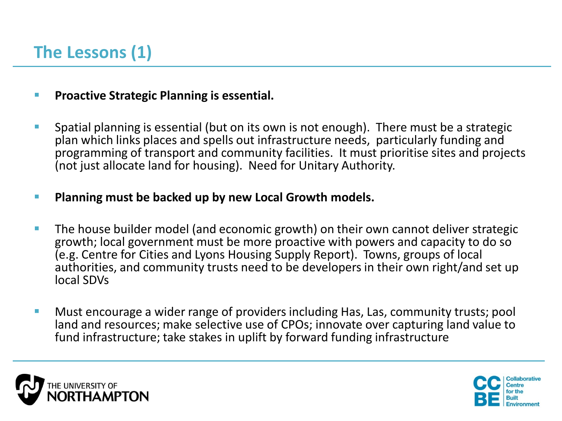- **Proactive Strategic Planning is essential.**
- Spatial planning is essential (but on its own is not enough). There must be a strategic plan which links places and spells out infrastructure needs, particularly funding and programming of transport and community facilities. It must prioritise sites and projects (not just allocate land for housing). Need for Unitary Authority.

### **Planning must be backed up by new Local Growth models.**

- **The house builder model (and economic growth) on their own cannot deliver strategic** growth; local government must be more proactive with powers and capacity to do so (e.g. Centre for Cities and Lyons Housing Supply Report). Towns, groups of local authorities, and community trusts need to be developers in their own right/and set up local SDVs
- Must encourage a wider range of providers including Has, Las, community trusts; pool land and resources; make selective use of CPOs; innovate over capturing land value to fund infrastructure; take stakes in uplift by forward funding infrastructure



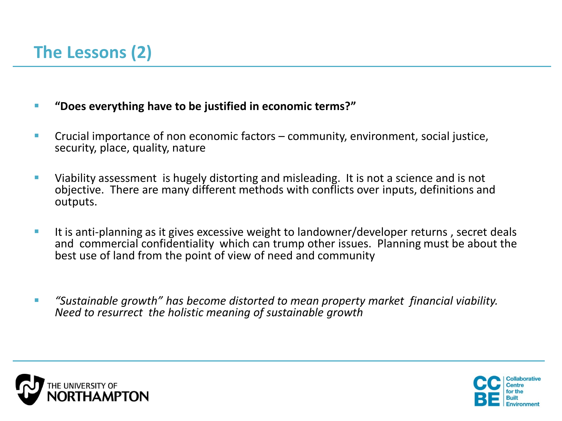- **"Does everything have to be justified in economic terms?"**
- **Crucial importance of non economic factors community, environment, social justice,** security, place, quality, nature
- Viability assessment is hugely distorting and misleading. It is not a science and is not objective. There are many different methods with conflicts over inputs, definitions and outputs.
- It is anti-planning as it gives excessive weight to landowner/developer returns , secret deals and commercial confidentiality which can trump other issues. Planning must be about the best use of land from the point of view of need and community
- *"Sustainable growth" has become distorted to mean property market financial viability. Need to resurrect the holistic meaning of sustainable growth*